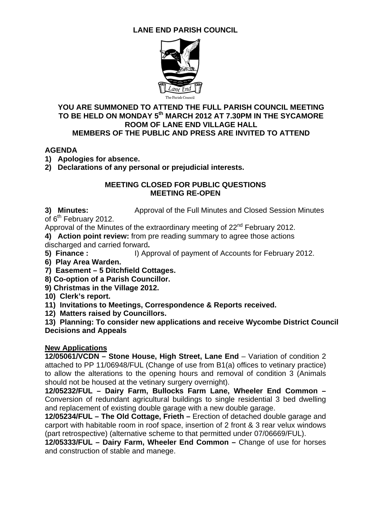# **LANE END PARISH COUNCIL**



#### **YOU ARE SUMMONED TO ATTEND THE FULL PARISH COUNCIL MEETING TO BE HELD ON MONDAY 5th MARCH 2012 AT 7.30PM IN THE SYCAMORE ROOM OF LANE END VILLAGE HALL MEMBERS OF THE PUBLIC AND PRESS ARE INVITED TO ATTEND**

### **AGENDA**

**1) Apologies for absence.** 

**2) Declarations of any personal or prejudicial interests.** 

#### **MEETING CLOSED FOR PUBLIC QUESTIONS MEETING RE-OPEN**

**3) Minutes:** Approval of the Full Minutes and Closed Session Minutes of  $6<sup>th</sup>$  February 2012.

Approval of the Minutes of the extraordinary meeting of  $22^{nd}$  February 2012.

**4) Action point review:** from pre reading summary to agree those actions discharged and carried forward**.** 

**5) Finance :** I) Approval of payment of Accounts for February 2012.

**6) Play Area Warden.**

**7) Easement – 5 Ditchfield Cottages.** 

**8) Co-option of a Parish Councillor.** 

**9) Christmas in the Village 2012.** 

**10) Clerk's report.**

**11) Invitations to Meetings, Correspondence & Reports received.** 

**12) Matters raised by Councillors.** 

**13) Planning: To consider new applications and receive Wycombe District Council Decisions and Appeals** 

#### **New Applications**

**12/05061/VCDN – Stone House, High Street, Lane End** – Variation of condition 2 attached to PP 11/06948/FUL (Change of use from B1(a) offices to vetinary practice) to allow the alterations to the opening hours and removal of condition 3 (Animals should not be housed at the vetinary surgery overnight).

**12/05232/FUL – Dairy Farm, Bullocks Farm Lane, Wheeler End Common –**  Conversion of redundant agricultural buildings to single residential 3 bed dwelling and replacement of existing double garage with a new double garage.

**12/05234/FUL – The Old Cottage, Frieth –** Erection of detached double garage and carport with habitable room in roof space, insertion of 2 front & 3 rear velux windows (part retrospective) (alternative scheme to that permitted under 07/06669/FUL).

**12/05333/FUL – Dairy Farm, Wheeler End Common –** Change of use for horses and construction of stable and manege.